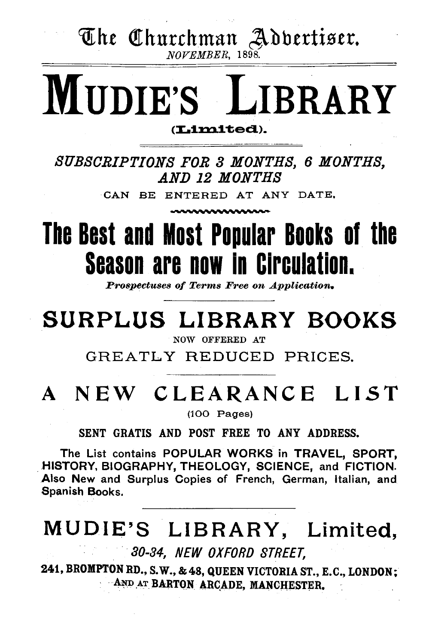The Churchman Adbertiser.

NOVEMBER, 1898.

# **MUDIE'S LIBRARY**

(Limited).

SUBSCRIPTIONS FOR 3 MONTHS, 6 MONTHS, AND 12 MONTHS

CAN BE ENTERED AT ANY DATE.

## The Best and Most Popular Books of the **Season are now in Circulation.**

**Prospectuses of Terms Free on Application.** 

## SURPLUS LIBRARY BOOKS

NOW OFFERED AT

GREATLY REDUCED PRICES.

## A NEW CLEARANCE LIST

 $(100$  Pages)

SENT GRATIS AND POST FREE TO ANY ADDRESS.

The List contains POPULAR WORKS in TRAVEL, SPORT. HISTORY, BIOGRAPHY, THEOLOGY, SCIENCE, and FICTION. Also New and Surplus Copies of French, German, Italian, and Spanish Books.

## MUDIE'S LIBRARY, Limited,

30-34, NEW OXFORD STREET.

241, BROMPTON RD., S.W., & 48, QUEEN VICTORIA ST., E.C., LONDON; AND AT BARTON ARCADE, MANCHESTER.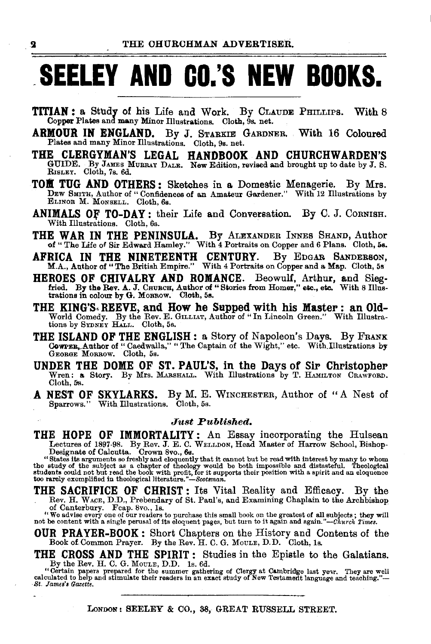## **\_SEELEY AND CO.'S NEW BOOKS.**

- **TITIAN:** a Study of his Life and Work. By CLAUDE PHILLIPS. With 8 Copper Plates and many Minor Illustrations. Cloth, 9s. net.
- ARMOUR IN ENGLAND. By J. STARKIE GARDNER. With 16 Coloured Plates and many Minor Illustrations. Cloth, 9s. net.
- THE CLERGYMAN'S LEGAL HANDBOOK AND CHURCHWARDEN'S GUIDE. By JAMES MuRRAY DALE. New Edition, revised and brought up to date by J. S. RISLEY. Cloth, 7s. 6d.
- TOL TUG AND OTHERS: Sketches in a Domestic Menagerie. By Mrs. DEW SMITH, Author of "Confidences of an Amateur Gardener." With 12 Illustrations by ELINOR M. MoNSELL. Cloth, 6s.
- ANIMALS OF TO-DAY: their Life and Conversation. By C. J. CORNISH. With Illustrations. Cloth, 6s.
- THE WAR IN THE PENINSULA. By ALEXANDER INNES SHAND, Author of "The Life of Sir Edward Hamley." With 4 Portraits on Copper and 6 Plans. Cloth, 5s.
- AFRICA IN THE NINETEENTH CENTURY. By EDGAR SANDERSON, M.A., Author of "The British Empire." With 4 Portraits on Copper and a Map. Cloth, 5s
- HEROES OF CHIVALRY AND ROMANCE. Beowulf, Arthur, and Sieg-<br>fried. By the Rev. A. J. CHURCH, Author of "Stories from Homer," etc., etc. With 8 Illus-<br>trations in colour by G. MoRROW. Cloth, 5s.
- THE KING'S. REEVE, and How he Supped with his Master: an Old-World Comedy. By the Rev. E. GILLIAT, Author of "In Lincoln Green." With Illustrations by SYDNEY HALL. Cloth, 5s.
- THE ISLAND OF THE ENGLISH: a Story of Napoleon's Days. By FRANK Cowrer, Author of "Caedwalla," "The Captain of the Wight," etc. With Illustrations by George Morrow. Cloth, 5s.
- UNDER THE DOME OF ST. PAUL'S, in the Days of Sir Christopher Wren: a Story. By Mrs. MARsHALL- With Illustrations by T. HAMILTON CRAWFORD. Cloth, 5s.
- A NEST OF SKYLARKS. By M. E. WINCHESTER, Author of "A Nest of Sparrows." With Illustrations. Cloth, 5s.

#### *Just Published.*

THE HOPE OF IMMORTALITY: An Essay incorporating the Hulsean<br>Lectures of 1897-98. By Rev. J. E. C. WELLDON, Head Master of Harrow School, Bishop-<br>Designate of Calcutta. Crown 8vo., 6s.<br>"States its arguments so freshly and e

THE SACRIFICE OF CHRIST : Its Vital Reality and Efficacy. By the Rev. H. WACE, D.D., Prebendary of St. Paul's, and Examining Chaplain to the Archbishop of Canterbury. Feap. 8vo., 1s.

"We advise every one of our readers to purchase this small book on the greatest of all subjects; they will not be content with a single perusal of its eloquent pages, but turn to it again and again."—Church Times.

OUR PRAYER-BOOK : Short Chapters on the History and Contents of the Book of. Common Prayer. By the Rev. H. C. G. MouLE, D.D. Cloth, 1s.

THE CROSS AND THE SPIRIT : Studies in the Epistle to the Galatians. By the Rev. H. C. G. MouLE, D.D. 1s. 6d.

By the reet, it, o. o. moone, D.D. is, ou.<br>Certain papers prepared for the summer gathering of Clergy at Cambridge last year. They are well<br>calculated to help and stimulate their readers in an exact study of New Testament

LONDON: SEELEY & CO., 33, GREAT RUSSELL STREET.

2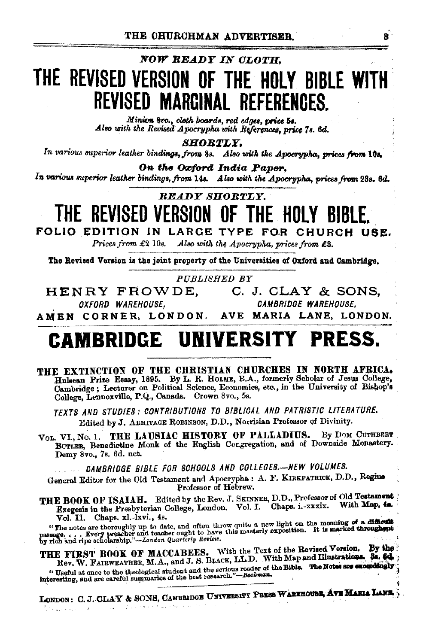R

#### NOW READY IN CLOTH.

### THE REVISED VERSION OF THE HOLY BIBLE WITH REVISED MARGINAL REFERENCES.

Minion 8vo., cloth boards, red edges, price 5s. Also with the Revised Apocrypha with References, price 7s. 6d.

**SHORTLY.** 

In various superior leather bindings, from 8s. Also with the Apocrypha, prices from 10s.

On the Oxford India Paper.

In various superior leather bindings, from 14s. Also with the Apocrypha, prices from 23s. 6d.

**READY SHORTLY.** 

### THE REVISED VERSION OF THE HOLY BIBLE.

FOLIO EDITION IN LARGE TYPE FOR CHURCH USE.

Prices from £2 10s. Also with the Apocrypha, prices from £3.

The Revised Version is the joint property of the Universities of Oxford and Cambridge.

PUBLISHED BY

HENRY FROWDE, C. J. CLAY & SONS, CAMBRIDGE WAREHOUSE. OXFORD WAREHOUSE,

AMEN CORNER, LONDON. AVE MARIA LANE, LONDON.

### **CAMBRIDGE UNIVERSITY PRESS.**

THE EXTINCTION OF THE CHRISTIAN CHURCHES IN NORTH AFRICA. Hulsean Prize Essay, 1895. By L. R. HOLME, B.A., formerly Scholar of Jesus College, Cambridge; Lecturer on Political Science, Economics, etc., in the University of Bishop's College. Lennoxville, P.Q., Canada. Crown 8vo., 5s.

TEXTS AND STUDIES: CONTRIBUTIONS TO BIBLICAL AND PATRISTIC LITERATURE. Edited by J. ARMITAGE ROBINSON, D.D., Norrisian Professor of Divinity.

VOL. VI., No. 1. THE LAUSIAC HISTORY OF PALLADIUS. By DOM CUTHBERT BUTLER, Benedictine Monk of the English Congregation, and of Downside Monastery. Demy 8vo., 7s. 6d. net.

CAMBRIDGE BIBLE FOR SCHOOLS AND COLLEGES.-NEW VOLUMES.

General Editor for the Old Testament and Apocrypha : A. F. KIREPATRICK, D.D., Regins Professor of Hebrew.

THE BOOK OF ISAIAH. Edited by the Rev. J. SEINNER, D.D., Professor of Old Testament Exegesis in the Presbyterian College, London. Vol. I. Chaps. i.-xxxix. With Map, 4a. Vol. II. Chaps. xl.-1xvi., 4s.

"The notes are thoroughly up to date, and often throw quite a new light on the meaning of a difficult passage. ... Every preacher and teacher ought to have this masterly exposition. It is marked throughout by rich and rip

THE FIRST BOOK OF MACCABEES. With the Text of the Revised Version. By the Rev. W. FAIRWEATHER, M.A., and J. S. BLACK, LL.D. With Map and Illustrations. 34. 64. "Useful at once to the theological student and the serious reader of the Bible. The Notes are exceedingly interesting, and are careful summaries of the best research."-Bookman.

LONDON: C. J. CLAY & SONS, CAMBRIDGE UNIVERSITY PRESS WAREHOUSE, AVE MARIA LANE.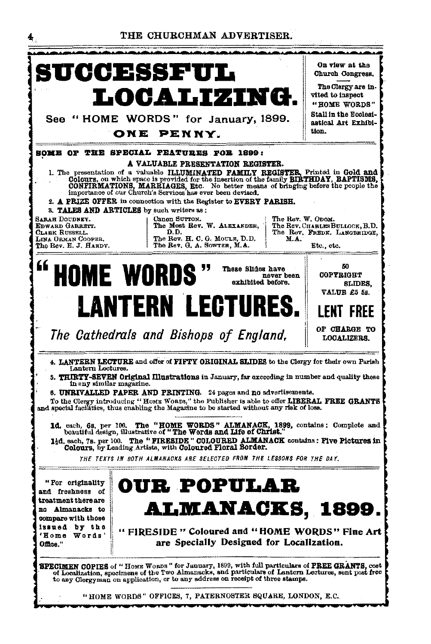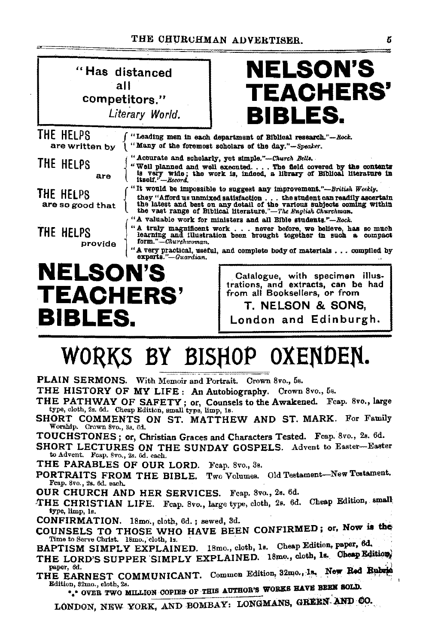#### THE CHURCHMAN ADVERTISER.



## WORKS BY BISHOP OXENDEN.

PLAIN SERMONS. With Memoir and Portrait. Crown 8vo., 5s.

THE HISTORY OF MY LIFE: An Autobiography. Crown 8vo., 5s.

- THE PATHWAY OF SAFETY; or, Counsels to the Awakened. Feap. 8vo., large type, cloth, 2s. 6d. Cheap Edition, small type, limp, 1s.
- SHORT COMMENTS ON ST. MATTHEW AND ST. MARK. For Family Worship. Crown 8vo., 3s. 6d.

TOUCHSTONES; or, Christian Graces and Characters Tested. Fcap. 8vo., 2s. 6d.

SHORT LECTURES ON THE SUNDAY GOSPELS. Advent to Easter-Easter to Advent. Fcap. 8vo., 2s. 6d. each.

THE PARABLES OF OUR LORD. Fcap. 8vo., 3s.

PORTRAITS FROM THE BIBLE. Two Volumes. Old Testament-New Testament. Feap. 8vo., 2s. 6d. each.

OUR CHURCH AND HER SERVICES. Feap. 8vo., 2s. 6d.

THE CHRISTIAN LIFE. Fcap. 8vo., large type, cloth, 2s. 6d. Cheap Edition, small type, limp, 1s.

CONFIRMATION. 18mo., cloth, 6d.; sewed, 3d.

COUNSELS TO THOSE WHO HAVE BEEN CONFIRMED; or, Now is the Time to Serve Christ. 18mo., cloth, 1s.

BAPTISM SIMPLY EXPLAINED. 18mo., cloth, 1s. Cheap Edition, paper, 6d.

- THE LORD'S SUPPER SIMPLY EXPLAINED. 18mo., cloth, 1s. Cheap Edition) paper, 6d.
- THE EARNEST COMMUNICANT. Common Edition, 32mo., 1s. New Red Rubrid Edition, 32mo., cloth, 2s.

\*\* OVER TWO MILLION COPIES OF THIS AUTHOR'S WORKS HAVE BEEN SOLD.

LONDON, NEW YORK, AND BOMBAY: LONGMANS, GREEN AND CO.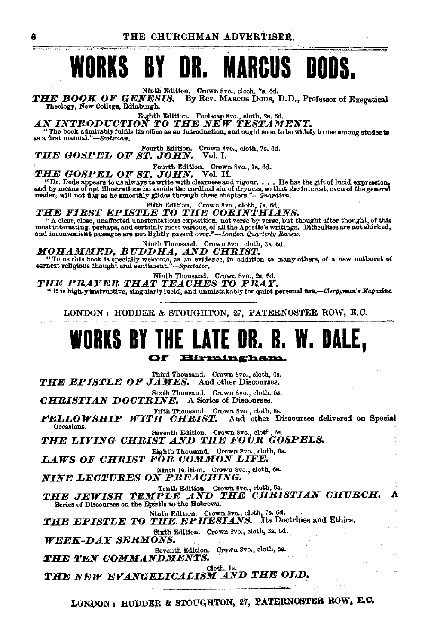#### NR. **MARCUS DODS.** WORKS **BY**

Ninth Edition. Crown 8vo., cloth, 7s, 6d.

THE BOOK OF GENESIS. By Rev. MARCUS DODS, D.D., Professor of Exerctical Theology, New College, Edinburgh.

Eighth Edition. Foolsoap 8vo., eloth, 2s. 6d.<br>AN INTRODUCTION TO THE NEW TESTAMENT.

"The book admirably fulfils its office as an introduction, and ought soon to be widely in use among students as a first manual."-Scotsman.

Fourth Edition. Crown Svo., cloth, 7s. 6d. THE GOSPEL OF ST. JOHN. Vol. I.

Fourth Edition. Crown 8vo., 7s. 6d.<br>JOHN. Vol. II.

THE GOSPEL OF ST. JOHN. Vol. II.<br>"Dr. Dods appears to us always to write with clearness and vigour.... He has the gift of lucid expression,<br>and by means of apt illustrations he avoids the cardinal sin of dryness, so that t

Fifth Edition. Crown 8vo., cloth, 7s. 6d.

#### THE FIRST EPISTLE TO THE CORINTHIANS.

A dear, close, unaffected unostatious expection, not verse by verse, but hought after thought, of this most interesting, perhaps, and certainly most various, of all the Apostle's writings. Difficulties are not shirked, and

### MOHAMMED, BUDDHA, AND CHRIST.

"To us this book is specially welcome, as an evidence, in addition to many others, of a new outburst of earnest religious thought and sentiment."-Spectator.

Ninth Thousand. Crown 8vo., 2s. 6d.<br>THE PRAYER THAT TEACHES TO PRAY.<br>"It is highly instructive, singularly lucid, and unmistakably for quiet personal use.—Clergyman's Magazine.

LONDON: HODDER & STOUGHTON, 27, PATERNOSTER ROW, E.C.

#### **WORKS BY THE LATE** W. DALE, OK. K. Of Birmingham.

Third Thousand. Crown 8vo., cloth, 6s.<br>THE EPISTLE OF JAMES. And other Discourses. Sixth Thousand. Crown 8vo., cloth, 6s. CHRISTIAN DOCTRINE. A Series of Discourses. Fifth Thousand. Crown 8vo., cloth, 6s. FELLOWSHIP WITH CHRIST. And other Discourses delivered on Special Occasions. Seventh Edition. Crown 8vo., cloth, 6s. THE LIVING CHRIST AND THE FOUR GOSPELS. Eighth Thousand. Crown 8vo., cloth, 0s,<br>LAWS OF CHRIST FOR COMMON LIFE. Ninth Edition. Crown 8vo., cloth, 6s.<br>NINE LECTURES ON PREACHING. THE JEWISH TEMPLE AND THE CHRISTIAN CHURCH. A Series of Discourses on the Epistle to the Hebrews. Ninth Edition. Crown Svo., cloth, 7s. 6d.<br>THE EPISTLE TO THE EPHESIANS. Its Doctrines and Ethics. Sixth Edition. Crown Svo., cloth, 3s. 6d. **WEEK-DAY SERMONS.** Seventh Edition. Crown 8vo., cloth, 5s. THE TEN COMMANDMENTS. Cloth, Is. THE NEW EVANGELICALISM AND THE OLD.

LONDON: HODDER & STOUGHTON, 27, PATERNOSTER ROW, E.C.

ß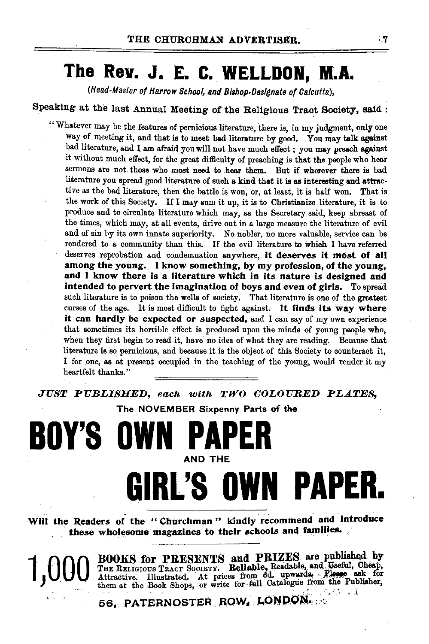### **The Rev. J. E. C. WELLDON, M.A.**

(Head-Master of Harrow School, and Bishop-Designate of Calcutta),

Speaking at the last Annual Meeting of the Religious Tract Society, said:

"Whatever may be the features of pernicious literature, there is, in my judgment, only one way of meeting it, and that is to meet bad literature by good. You may talk against bad literature, and I am afraid you will not have much effect ; you may preach against it without much effect, for the great difficulty of preaching is that the people who hear sermons are not those who most need to hear them. But if wherever there is bad literature you spread good literature of such a kind that it is as interesting and attractive as the bad literature, then the battle is won, or, at least, it is half won. That is the work of this Society. If I may sum it up, it is to Christianize literature, it is to produce and to circulate literature which may, as the Secretary said, keep abreast of the times, which may, at all events, drive out in a large measure the literature of evil and of sin by its own innate superiority. *No* nobler, no more valuable, service can be rendered to a community than this. If the evil literature to which I have referred deserves reprobation and condemnation anywhere, it deserves it *most* of all among the young. I know something, by my profession, of the young, and I know there is a literature which in its nature *is* designed and intended to pervert the imagination of boys and even of girls. To spread such literature is to poison the wells of society. That literature is one of the greatest curses of the age. It is most difficult to fight against. It finds its way where it can hardly be expected or suspected, and I can say of my own experience that sometimes its horrible effect is produced upon the minds of young people who, when they first begin to read it, have no idea of what they are reading. Because that literature is so pernicious, and because it is the object of this Society to counteract it, I for one, as at present occupied in the teaching of the young, would render it my heartfelt thanks.''

*JUST PUBLISHED, each with TWO COLOURED PLATES,* 

The NOVEMBER Sixpenny Parts of the

## **BOY'S OWN** AND THE **GIRL'S OWN PAPER.**

Will the Readers of the "Churchman" kindly recommend and introduce these wholesome magazines to their schools and families.

1,000 BOOKS for PRESENTS and PRIZES are published by THE RELIGIOUS TRACT SCOURT. Reliable, Readable, and Useful, Cheap, Attractive. Illustrated. At prices from 6d. upwards. Please ask for the Publisher, them at the Book Sh

56, PATERNOSTER ROW, LONDON,

 $\cdot$ 7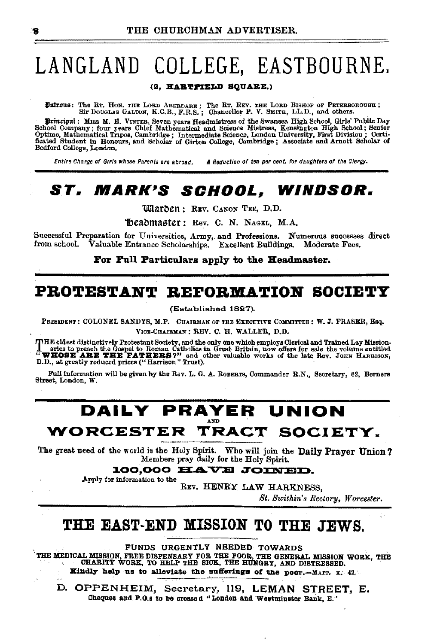## LANGLAND COLLEGE, EASTBOURNE.

#### (2. HARTFIELD SQUARE.)

Datrons: The Rt. Hon. THE LOBD ABERDARE; The RT. REV. THE LOBD BISHOF OF PETERBOROUGH; SIT DOUGLAS GALTON, K.C.B., F.R.S.; Chancellor P. V. SMITH, LL.D., and others.

Principal: Mass M. E. VINTER, Seven years Headmistress of the Swansea High School, Girls' Public Day School, Company; four years Chief Mathematical and Science Mistress, Kenahny Chief Chief Chief Chief Chief Chief Chief Ch Bedford College, London.

Entire Charge of Girls whose Parents are abroad. A Reduction of ten per cent, for daughters of the Clergy.

#### SCHOOL. WINDSOR. *ST. MARK'S*

**Warben: REV. CANON TEE, D.D.** 

Theadmaster: Rev. C. N. NAGEL, M.A.

Successful Preparation for Universities, Army, and Professions. Numerous successes direct from school. Valuable Entrance Scholarships. Excellent Buildings. Moderate Fees.

For Full Particulars apply to the Headmaster.

#### PROTESTANT REFORMATION SOCIETY

(Established 1827).

PEESIDENT: COLONEL SANDYS, M.P. CHAIRMAN OF THE EXECUTIVE COMMITTEE: W. J. FRASER, Esq. VICE-CHAIRMAN ; REV. C. H. WALLER, D.D.

THE oldest distinctively Protestant Society, and the only one which employs Clerical and Trained Lay Mission-<br>aries to preach the Gospel to Roman Catholics in Great Britain, now offers for sale the volume entitled<br>"WHOSE A D.D., at greatly reduced prices ("Harrison" Trust).

Full information will be given by the Rev. L. G. A. ROBERTS, Commander R.N., Secretary, 62. Berners Street, London, W.

### DAILY PRAYER UNION WORCESTER TRACT SOCIETY.

The great need of the world is the Holy Spirit. Who will join the Daily Prayer Union? Members pray daily for the Holy Spirit.

100.000 HAVE JOINED.

Apply for information to the

REV. HENRY LAW HARKNESS,

St. Swithin's Rectory, Worcester.

#### THE EAST-END MISSION TO THE JEWS.

FUNDS URGENTLY NEEDED TOWARDS

THE MEDICAL MISSION, FREE DISPENSARY FOR THE FOOR, THE GENERAL MISSION WORK, THE GENERAL MISSION WORK, THE

Kindly help us to alleviate the sufferings of the poor.-MATT. x. 42.

D. OPPENHEIM, Secretary, 119, LEMAN STREET, E. Cheques and P.O.s to be crossed "London and Westminster Bank, E."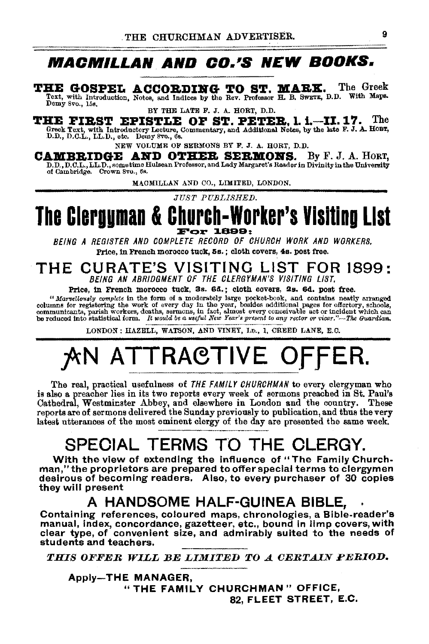### **MACMILLAN AND CO.'S NEW BOOKS.**

THE GOSPEL ACCORDING TO ST. MARK. The Greek Text, with Introduction, Notes, and Indices by the Rev. Professor H. B. SWETE, D.D. With Maps. Demy Svo., 15s.

BY THE LATE F. J. A. HORT, D.D.

THE FIRST EPISTLE OF ST. PETER, 1. i.-II. 17. The Greek Text, with Introductory Lecture, Commentary, and Additional Notes, by the late F. J. A. HOBT,<br>D.D., D.C.L., LL.D., etc. Demy 8vo., 6s.

NEW VOLUME OF SERMONS BY F. J. A. HORT, D.D.

CAMBRIDGE AND OTHER SERMONS. By F. J. A. HORT, D.D., D.C.L., LL.D., sometime Hulsean Professor, and Lady Margaret's Reader in Divinity in the University of Cambridge. Crown Svo., 6s.

MACMILLAN AND CO., LIMITED, LONDON.

*JlJST PUBLISHED.* 

## The Clergyman & Church-Worker's Visiting List

BEING A REGISTER AND COMPLETE RECORD OF CHURCH WORK AND WORKERS. Price, in French morocco tuck, Ss. ; cloth covers, 4s. post free.

#### THE CURATE'S VISITING LIST FOR 1899: BEING AN ABRIDGMENT OF THE CLERGYMAN'S VISITING LIST.

Price, in French morocco tuck, 3s. 6d.; cloth covers, 2s. 6d. post free.

*"Marvellously complete* in the form of a moderately large pocket-book, and contains neatly arranged columns for registering the work of every day in the year, besides additional pages for offertory, schools, communicants, parish workers, deaths, sermons, in fact, almost every conceivable act or incident which can<br>be reduced into statistical form. It would be a useful New Year's present to any rector or vicar."—The Guardian

LONDON: HAZELL, WATSON, AND VINEY, LD., 1, CREED LANE, E.C.

## AN ATTRACTIVE OFFER.

The real, practical usefulness of THE FAMILY CHURCHMAN to every clergyman who is also a preacher lies in its two reports every week of sermons preached in St. Paul's Cathedral, Westminster Abbey, and elsewhere in London and the country. These reports are of sermons delivered the Sunday previously to publication, and thus the very latest utterances of the most eminent clergy of the day are presented the same week.

### SPECIAL TERMS TO THE CLERGY.

With the view of extending the influence of "The Family Churchman," the proprietors are prepared toofferspecial terms to clergymen desirous of becoming readers. Also, to every purchaser of 30 copies they will present

#### A HANDSOME HALF-GUINEA BIBLE,

Containing references, coloured maps, chronologies, a Bible-reader's manual, index, concordance, gazetteer, etc., bound in limp covers, with clear type, of convenient size, and admirably suited to the needs of students and teachers.

*THIS OFFER WILL BE LIMITED TO A CERTAIN PERIOD.* 

Apply-THE MANAGER, "THE FAMILY CHURCHMAN" OFFICE, 82, FLEET STREET, E.C.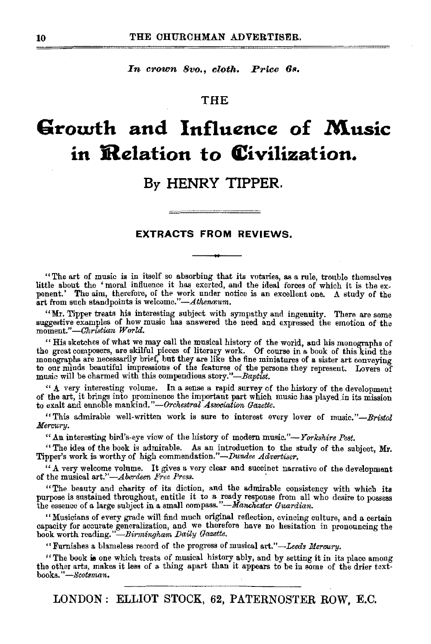In crown 8vo., cloth. Price 6s.

#### THE

### **Growth and Influence of Music in Relation to (Civilization.**

#### **By HENRY TIPPER.**

#### **EXTRACTS FROM REVIEWS.**

"The art of music is in itself so absorbing that its votaries, as a rule, trouble themselves ponent.' The aim, therefore, of the work under notice is an excellent one. A study of the art from such standpoints is welcome."-Athenaum.

"Mr. Tipper treats his interesting subject with sympathy and ingenuity. There are some suggestive examples of how music has answered the need and expressed the emotion of the moment."-Christian World.

"His sketches of what we may call the musical history of the world, and his monographs of the great composers, are skilful pieces of literary work. Of course in a book of this kind the monographs are necessarily brief, but to our minds beautiful impressions of the features of the persons they represent. Lovers of music will be charmed with this compendious *story."-Baptist.* 

" A very interesting volume. In a sense a rapid survey of the history of the development of the art, it brings into prominence the important part which music has played in its mission to exalt and ennoble mankind."-Orchestral Association Gazette.

"This admirable well-written work is sure to interest every lover of *musie."-Bristol Merrmry.* 

"An interesting bird's-eye view of the history of modern music."-*Yorkshire Post.* 

"The idea of the book is admirable. As an introduction to the study of the subject, Mr. Tipper's work is worthy of high commendation."-Dundee Advertiser.

"A very welcome volume. It gives a very clear and succinct narrative of the development of the musical art."-Aberdeen Free Press.

"The beauty and charity of its diction, and the admirable consistency with which its purpose is sustained throughout, entitle it to a ready response from all who desire to possess the essence of a large subject in a small compass. *"-Manchester Guardian.* 

"Musicians of every grade will find much original reflection, evincing culture, and a certain capacity for accurate generalization, and we therefore have no hesitation in pronouncing the book worth reading."-Birmingkam *Daily Gazette.* 

''Furnishes a. blameless record of the progress of musical art."-*Leeds Meroory.* 

"The book is one which treats of musical history ably, and by setting it in its place among the other arts, makes it less of a thing apart than it appears to be in some of the drier textbooks." *-Scotsman.* 

LONDON : ELLIOT STOCK, 62, PATERNOSTER ROW, E.C.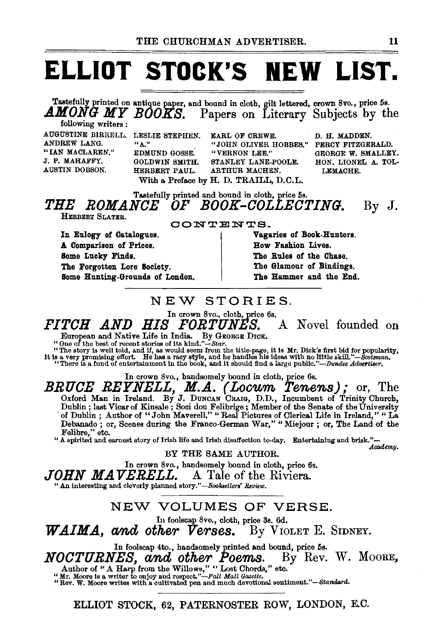## **ELLIOT STOCK'S NEW LIST.**

Tastefully printed on antique paper, and bound in cloth, gilt lettered, crown 8vo., price 5s.<br> $AMONG$  MY BOOKS. Papers on Literary Subjects by the Papers on Literary Subjects by the

following writers: ANDREW LANG. "IAN MACLAREN." J. P. MAHAFFY. AUSTIN DOBSON.

EDMUND GOSSE. "VERNON LEE."<br>GOLDWIN SMITH. STANLEY LANE-With a Preface by H. D. TRAILL, D.C.L.

AUGUSTINE BIRRELL. LESLIE STEPHEN. EARL OF CREWE. D. H. MADDEN. "A." "JOHN OLIVER HOBBES."<br>EDMUND GOSSE. "VERNON LEE." GOLDWIN SMITH. STANLEY LANE-POOLE.<br>HERBERT PAUL. ARTHUR MACHEN. ARTHUR MACHEN. LEMACHE.

PERCY FITZGERALD. GEORGE W. SMALLEY. HON. LIONEL A. TOL-

#### Tastefully printed and bound in cloth, price 5s. *THE ROMANCE OF BOOK-COLLECTING.*  By J.

HERBERT SLATER.

In Eulogy of Catalogues. A Comparison of Prices. Some Lucky Finds. The Forgotten Lore Society. Some Hunting-Grounds of London.

#### CONTENTS-

Vagaries of Book-Hunters. How Fashion Lives. The Rules of the Chase. The Glamour of Bindings. The Hammer and the End.

### NEW STORIES.

In crown 8vo., cloth, price 6s.

*FITCH AND HIS FORTUNES.* A Novel founded on

European and Native Life in India. By GEORGE DICK. "One of the best of recent stories of its kind."-Star.

"The story is well told, and if, as would seem from the title-page, it is Mr. Dick's first bid for popularity,<br>it is a very promising effort. He has a racy style, and he handles his ideas with no little skill."—Scotsman,<br>

In crown 8vo., handsomely bound in cloth, price 6s.

BRUCE REYNELL, M.A. (Locum Tenens); or, The Oxford Man in Ireland. By J. DuNCAN CRAIG, D.D., Incumbent of Trinity Church, Dublin ; last Vicar of Kinsale ; Soci dou Felibrige; Member of the Senate of the University ·of Dublin ; Author of "John Maverell," "Real Pictures of Clerical Life in Ireland," " La Debanado; or, Scenes during the Franco-German War," "Miejour; or, The Land of the Felibre," etc.

"A sph•ited and earnest story of Irish life and Irish disaffection to-day. Entertaining and brisk.''- *Academy.* 

BY THE SAME AUTHOR.

In crown 8vo., handsomely bound in cloth, price 6s.<br>**JOHN MAVERELL.** A Tale of the Riviera.

*Johnson Marka Manned story."-Booksellers' Review.* 

#### NEW VOLUMES OF VERSE.

In foolscap 8vo., cloth, price 3s. 6d.

*WAIMA, and other Verses.* By VIOLET E. SIDNEY.

In foolscap 4to., handsomely printed and bound, price 5s.<br> $\boldsymbol{H}\boldsymbol{S}$ . and other Poems. By Rev. W. MOORE. **NOCTURNES, and other Poems.** By Rev. W. MOORE,<br>
Author of "A Harp from the Willows," "Lost Chords," etc.<br>
"Mr. Moore is a writer to enjoy and respect."—pall Mall Gazette.<br>"Rev. W. Moore writes with a cultivated pen and m

ELLIOT STOCK, 62, PATERNOSTER ROW, LONDON, E.C.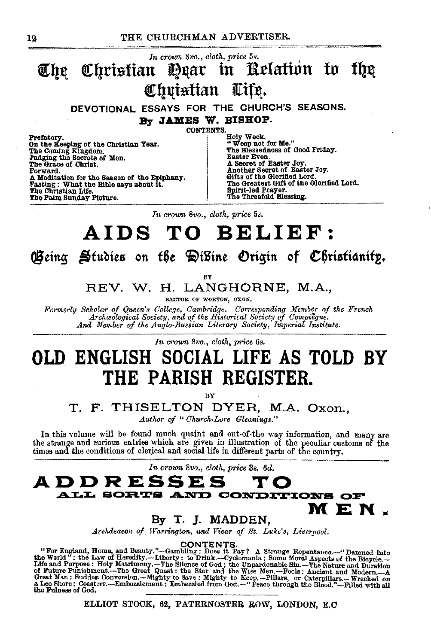

In crown 8vo., cloth, price 5s.

## AIDS TO BELIEF:

Geing Studies on the DiBine Origin of Christianity.

RV

REV. W. H. LANGHORNE, M.A.,

RECTOR OF WORTON, OXON,

Formerly Scholar of Queen's College, Cambridge. Corresponding Member of the French Archaeological Society, and of the Historical Society of Compiègne. And Member of the Anglo-Russian Literary Society, Imperial Institute.

In crown 8vo., cloth, price 6s.

### OLD ENGLISH SOCIAL LIFE AS TOLD BY THE PARISH REGISTER.

RY

#### T. F. THISELTON DYER, M.A. Oxon.,

Author of "Church-Lore Gleanings."

In this volume will be found much quaint and out-of-the way information, and many are the strange and curious entries which are given in illustration of the peculiar customs of the times and the conditions of clerical and social life in different parts of the country.

In crown 8vo., cloth, price 3s. 6d.



#### By T. J. MADDEN,

Archdeacon of Warrington, and Vicar of St. Luke's, Liverpool.

"For England, Home, and Beauty."---Gambling: Does it Pay? A Strange Repentance.--"Damned into<br>the World": the Law of Heredity.---Liberty: to Drink...-Cyclomania: Some Moral Aspects of the Biogrele.--<br>Life and Purpose: Hol the Fulness of God.

ELLIOT STOCK, 62, PATERNOSTER ROW, LONDON, E.C.

12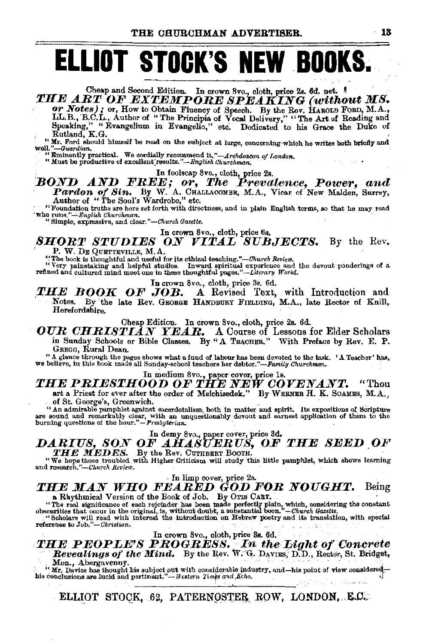## **ELLIOT STOCK'S NEW BOOKS.**

Cheap and Second Edition. In crown 8vo., cloth, price 2s. 6d. net. THE ART OF EXTEMPORE SPEAKING (without MS.

or Notes); or, How to Obtain Fluency of Speech. By the Rev. HAROLD FORD, M.A., LL.B., B.C.L., Author of "The Principia of Vocal Delivery," "The Art of Reading and Speaking," "Evangelium in Evangelio," etc. Dedicated to his Grace the Duke of Rutland, K.G.

"Mr. Ford should himself be read on the subject at large, concerning which he writes both briefly and well."-Guardian.

" Eminently practical. We cordially recommend it."—Archdeacon of London.<br>" Must be productive of excellent results."—English Churchman.

#### In foolscap 8vo., cloth, price 2s. **BOND AND FREE; or, The Prevalence, Power, and** Pardon of Sin. By W. A. CHALLACOMBE, M.A., Vicar of New Malden, Surrey, Author of "The Soul's Wardrobe," etc.

"Foundation truths are here set forth with directness, and in plain English terms, so that he may read 'Who runs."-English Churchman.

"Simple, expressive, and clear."-Church Gazette.

#### In crown 8vo., cloth, price 6s.

**SHORT STUDIES ON VITAL SUBJECTS.** By the Rev. P. W. DE QUETTEVILLE, M.A.

The book is thoughtful and useful for its cthical teaching."—Church Review.<br>"The book is thoughtful and useful for its cthical teaching."—Church Review.<br>"Very painstaking and helpful studies. Inward spiritual experience an

In crown 8vo., cloth, price 3s. 6d.

THE BOOK OF JOB. A Revised Text, with Introduction and Notes. By the late Rev. GEORGE HANDBURY FIELDING, M.A., late Rector of Knill, Herefordshire.

Cheap Edition. In crown 8vo., cloth, price 2s. 6d.

**OUR CHRISTIAN YEAR.** A Course of Lessons for Elder Scholars in Sunday Schools or Bible Classes. By "A TRACHER." With Preface by Rev. E. P. GREGG, Rural Dean.

"A glance through the pages shows what a fund of labour has been devoted to the task. 'A Teacher' has, we believe, in this book made all Sunday-school teachers her debtor."—Family Churchman.

#### In medium 8vo., paper cover, price 1s.

THE PRIESTHOOD OF THE NEW COVENANT. " Thou art a Priest for ever after the order of Melchisedek." By WERNER H. K. SOAMES, M.A., of St. George's, Greenwich.

" An admirable pamphlet against sacerdotalism, both in matter and spirit. Its expositions of Scripture are sound and remarkably clear, with an unquestionably devout and earnest application of them to the burning questions

DARIUS, SON OF AHASUERUS, OF THE SEED OF THE MEDES. By the Rev. CUTHBERT BOOTH.

"We hope those troubled with Higher Criticism will study this little pamphlet, which shows learning and research."-Church Review.

#### THE MAN WHO FEARED GOD FOR NOUGHT. Being a Rhythmical Version of the Book of Job. By OTIS CART.

"The real significance of each rejoinder has been made perfectly plain, which, considering the constant<br>obscurities that occur in the original, is, without doubt, a substantial boon."—Church Gazette.<br>"Scholars will read wi

reference to Job."-Christian.

#### In crown 8vo., cloth, price 3s. 6d.

**THE PEOPLE'S PROGRESS.** In the Light of Concrete Revealings of the Mind. By the Rev. W. G. Davins, D.D., Rector, St. Bridget, Mon., Abergavenny.

 $\cdot$  " Mr. Davics has thought his subject out with considerable industry, and —his point of view considered-<br>his conclusions are lucid and pertinent."—*Western Times and Echo*.

ELLIOT STOCK, 62, PATERNOSTER ROW, LONDON, E.C.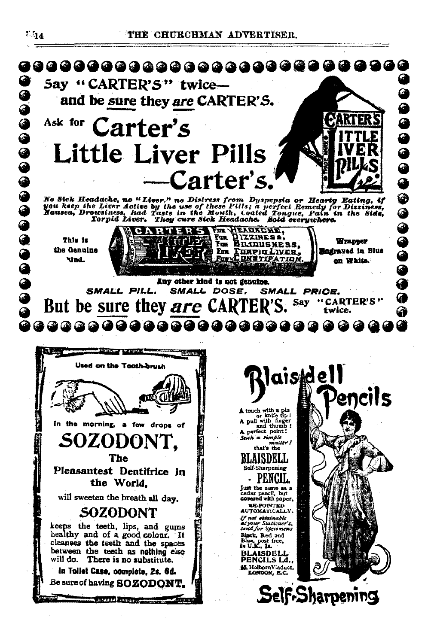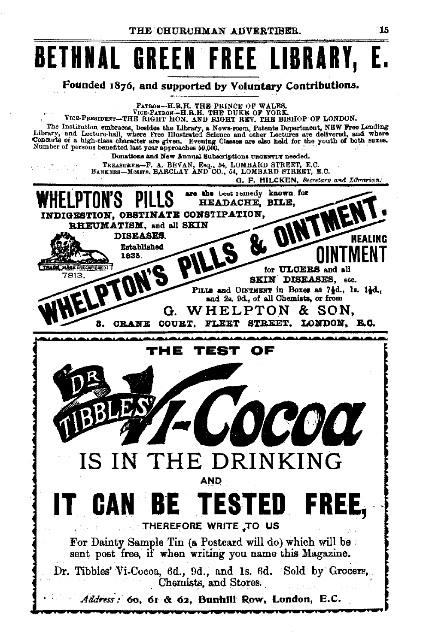## **BETHNAL GREEN FREE LIBRARY, E.**

Founded 1876, and supported by Voluntary Contributions.

PATRON--H.R.H. THE PRINCE OF WALES.<br>VICE-PATRON-H.R.H. THE DUKE OF YORK.<br>VICE-PRESIDENT-THE RIGHT HON, AND RIGHT REV, THE BISHOP OF LONDON.

The Institution embraces, besides the Library, a News-room, Patents Department, NEW Free Lending Library, and Lecture-hall, where Free Illustrated Science and other Lectures are delivered, and where Concerts of a high-clas

Donations and New Annual Subscriptions URGENTLY needed.

TREASURER-F. A. BEVAN, ERQ., 54, LOMBARD STREET, E.C.<br>BANKERS-Messte, BARCLAY AND CO., 54, LOMBARD STREET, E.C.

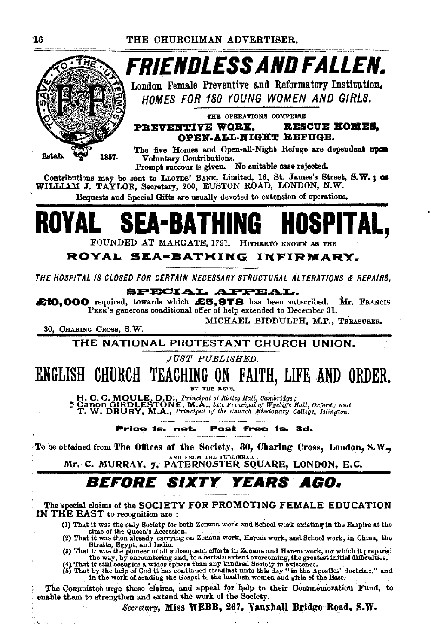

*FRIENDLESS AND FALLEN.* 

London Female Preventive and Reformatory Institution. HOMES FOR 180 YOUNG WOMEN AND GIRLS.

THE OPERATIONS COMPRISE PREVENTIVE WORK. **RESCUE HOMES.** OPEN-ALL-NIGHT REFUGE.

The five Homes and Open-all-Night Refuge are dependent upon Voluntary Contributions.

Prompt succour is given. No suitable case rejected.

Contributions may be sent to LLOYDS' BANK, Limited, 16, St. James's Street, S.W.; or WILLIAM J. TAYLOR, Secretary, 200, EUSTON ROAD, LONDON, N.W.

Bequests and Special Gifts are usually devoted to extension of operations.

## A-BATHING

FOUNDED AT MARGATE, 1791. HITHERTO KNOWN AS THE

#### ROYAL SEA-BATHING INFIRMARY.

THE HOSPITAL IS CLOSED FOR CERTAIN NECESSARY STRUCTURAL ALTERATIONS & REPAIRS.

**SPECIAL APPEAL.** 

£10,000 required, towards which £5,978 has been subscribed. Mr. FRANCIS PEER's generous conditional offer of help extended to December 31.

30, CHARING CROSS, S.W.

t, ci

MICHAEL BIDDULPH, M.P., TREASURER.

THE NATIONAL PROTESTANT CHURCH UNION.

**JUST PUBLISHED.** 

ENGLISH CHURCH TEACHING ON FAITH, LIFE AND ORDER.

H. C. G. MOULE, D.D., Principal of Ridley Hall, Cambridge;<br>Canon GIRDLESTONE, M.A., late Principal of Wycliffe Hall, Oxford; and<br>T. W. DRURY, M.A., Principal of the Church Missionary College, Islington.

#### Post free 1s. 3d. Price is, net.

To be obtained from The Offices of the Society, 30, Charing Cross, London, S.W., Mr. C. MURRAY, 7, PATERNOSTER SQUARE, LONDON, E.C.

### **BEFORE SIXTY YEARS AGO.**

The special claims of the SOCIETY FOR PROMOTING FEMALE EDUCATION IN THE EAST to recognition are:

(1) That it was the only Society for both Zenana work and School work existing in the Empire at the

(1) That it was the only Society for both Zenana work and senool work existing in the energy at the queen's Accession.<br>
(2) That it was then already carrying on Zonana work, Harem work, and School work, in China, the<br>
Str

The Committee urge these claims, and appeal for help to their Commemoration Fund, to enable them to strengthen and extend the work of the Society.

Secretary, Miss WEBB, 267, Vauxhall Bridge Road, S.W.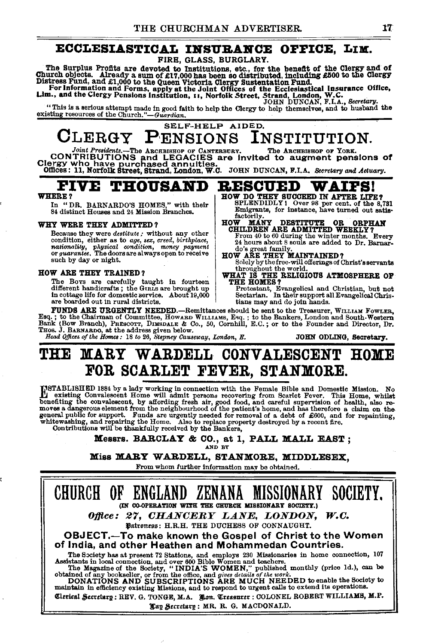#### ECCLESIASTICAL INSURANCE OFFICE, LIM.

FIRE, GLASS, BURGLARY.

The Surplus Profits are devoted to Institutions, etc., for the benefit of the Clergy and of<br>Church objects. Already a sum of £17,000 has been so distributed, including £500 to the Clergy<br>Distress Fund, and £1,000 to the Qu

For Information and Forms, apply at the Joint Offices of the Ecclesiastical Insurance Office,<br>Lim., and the Clergy Pensions Institution, 11, Norfolk Street, Strand, London, W.C.<br>*mm. ...* and the Clergy Pensions Institutio

"This is a serious attempt made in good faith to help the Clergy to help themselves, and to husband the existing resources of the Church." *Guardian.* 

#### CLERGY PENSIONS SELF-HELP AIDED.

 $\textbf{GLERGY}\ \textbf{P-ENSIDNS}\ \textbf{INSTITYUTION}. \ \textbf{Co(NTRIBUTIONS}\ \textbf{CONTRIBUTIONS}\ \textbf{CONTRIBUTIONS}\ \textbf{CONTRIBUTIONS}\ \textbf{CONTRIBUTIONS}\ \textbf{CMS}\ \textbf{COS} \textbf{CAS} \textbf{CAS} \textbf{CAS} \textbf{CAS} \textbf{CAS} \textbf{CAS} \textbf{CAS} \textbf{CAS} \textbf{CAS} \textbf{CAS} \textbf{CAS} \textbf{CAS} \textbf{CAS} \textbf{CAS} \textbf{CAS} \textbf{CAS} \textbf{CAS$ 

### $\mathbf{F}_{\text{WERB}}$ ? THOUSAND RESCUED WAIFS!

WHERE? In "DR. BARNARDO'S HOMES," with their SPLENDIDLY I Over 98 per cent. of the 8,781 In "DR. BARNARDO'S HOMES," with their SPLENDIDLY! Over 98 per cent. of the 8,731 84 distinct Houses and 24 Mission Branches. For instance, have turned out satis-<br>factorily.

#### WHY WERE THEY ADMITTED?

Because they were *destitute:* without any other condition, either as to *age*, sex, creed, birthplace, nationality, physical condition, money payment<br>or *guarantee*. The doors are always open to receive such by day or night.

#### HOW ARE THEY TRAINED?

The Bovs are carefully taught in fourteen<br>different handicrafts; the Guass are brought up<br>in cottage life for domestic service. About 19,000 different handicrafts ; the Guals are brought up [Intestant, Evangelical and Christian, but not all the state o<br>In cottage life for domestic service, About 19,000 [Sectarian, In their support all Evangelical Chris-<br>are boa

**FUNDS ARE URGENTLY NEEDED.**—Remittances should be sent to the Treasurer, WILLIAM FOWLER,<br>Esq.; to the Chairman of Committee, HOWARD WILLIAM S, Eq.; to the Bankers, London and South-Western<br>Bank (Bow Branch), PRESCOTT, DIM

HOW MANY DESTITUTE OR ORPHAN<br>CHILDREN ARE ADMITTED WEEKLY? From 40 to 60 during the winter months. Every 24 hours about 8 souls are added to Dr. Barnar-

Solely by the free· will offerings of Christ's servants throughout the world. WHAT IS THE RELIGIOUS ATMOSPHERE OF

do's great family.<br>HOW ARE THEY MAINTAINED?

### THE MARY WARDELL CONVALESCENT HOME FOR SCARLET FEVER, STANMORE.

INSTABLISHED 1884 by a lady working in connection with the Female Bible and Domestic Mission. No<br>
Lexisting Convalescent Home will admit persons recovering from Scarlet Fever. This Home, whilst<br>
chenefiting the convalescen white winds will be thankfully received by the Bankers, white washing, and repairing the Home. Also to replace property destroyed by a recent fire.<br>Contributions will be thankfully received by the Bankers,

Messrs. BARCLAY & CO., at 1, PALL MALL EAST;

Miss MARY WARDELL, STANMORE, MIDDLESEX,

From whom further information may be obtained.

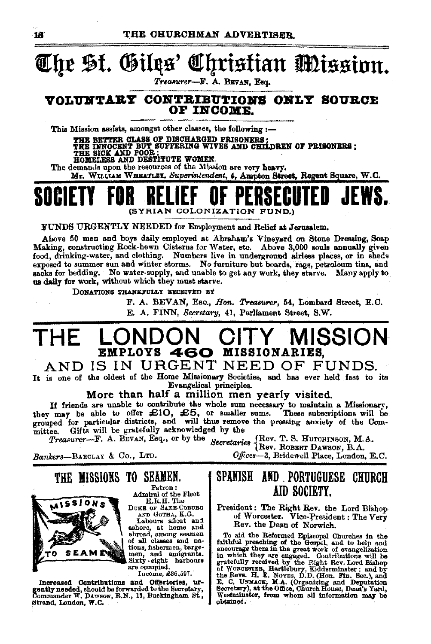#### Christian Mission. The St. Gilgs'

Treasurer-F. A. BEVAN, Esq.

#### VOLUNTARY CONTRIBUTIONS ONLY SOURCE OF INCOME.

This Mission assists, amongst other classes, the following :-

THE BETTER CLASS OF DISCHARGED PRISONERS;<br>THE NNOCENT BUT SUFFERING WIVES AND CHILDREN OF PRISONERS;<br>THE SICK AND DESTITUTE WOMEN.<br>HOMELESS AND DESTITUTE WOMEN.<br>The demands upon the resources of the Mission are very heavy.

Mr. WILLIAM WHEATLET, Superintendent, 4, Ampton Street, Regent Square, W.C.

## (SYRIAN COLONIZATION FUND.)

FUNDS URGENTLY NEEDED for Employment and Relief at Jerusalem.

Above 50 men and boys daily employed at Abraham's Vineyard on Stone Dressing, Soap Making, constructing Rock-hewn Cisterns for Water, etc. Above 3,000 souls annually given food, drinking-water, and clothing. Numbers live in underground airless places, or in sheds exposed to summer sun and winter storms. No furniture but boards, rags, petroleum tins, and sacks for bedding. No water-supply, and unable to get any work, they starve. Many apply to us daily for work, without which they must starve.

DONATIONS THANKFULLY RECEIVED BY

F. A. BEVAN, Eso., Hon. Treasurer, 54. Lombard Street, E.C. E. A. FINN, Secretary, 41, Parliament Street, S.W.

#### MISSION MPLOYS 460 MISSIONARIES.

#### AND IS IN URGENT NEED OF FUNDS.

It is one of the oldest of the Home Missionary Societies, and has ever held fast to its Evangelical principles.

More than half a million men yearly visited.

If friends are unable to contribute the whole sum necessary to maintain a Missionary, they may be able to offer £10, £5, or smaller sums. These subscriptions will be grouped for particular districts, and will thus remove the pressing anxiety of the Committee. Gifts will be gratefully acknowledged by the

Secretaries (Rev. T. S. HUTCHINSON, M.A. Treasurer-F. A. BEVAN, Esq., or by the

Bankers-BARCLAY & Co., LTD.

THE MISSIONS TO SEAMEN.



Patron: Admiral of the Fleet H.R.H. The

DUKE OF SAXE-COBURG AND GOTHA, K.G.

Labours afloat and ashore, at home and of all classes and nations, fishermen, bargemen, and emigrants.<br>Sixty-eight harbours are occupied.

Income, £36,597.

Increased Contributions and Offertories, urgently needed, should be forwarded to the Secretary, Commander W. DAYSON, R.N., 11, Buckingham St., Strand, London, W.C.

#### SPANISH AND PORTUGUESE CHURCH AID SOCIETY.

Offices-3, Bridewell Place, London, E.C.

President: The Right Rev. the Lord Bishop<br>of Worcester. Vice-President: The Very Rev. the Dean of Norwich.

To aid the Reformed Episcopal Churches in the To aid the Reformed Bruscopal Churches in the factorized that a factoring of the Greepsl, and to help and in encourage them in the great work of evangelization gratefully received by the Right Rev. Lord Bishop of Wordsenst Westminster, from whom all information may be obtained.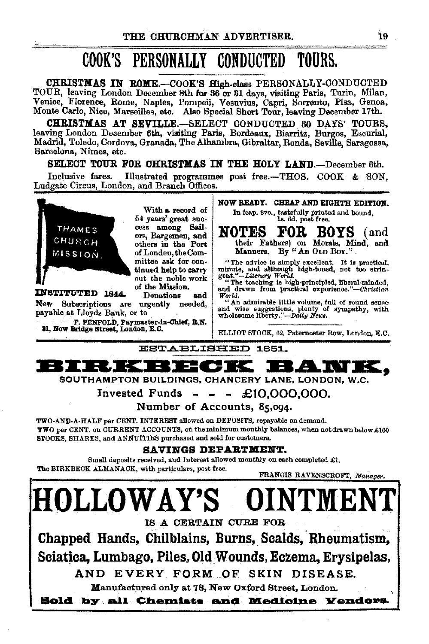#### COOK'S PERSONALLY CONDUCTED TOURS.

CHRISTMAS IN ROME.-COOK'S High-class PERSONALLY-CONDUCTED TOUR, leaving London December 8th for 86 or 81 days, visiting Paris, Turin, Milan, Venice, Florence, Rome, Naples, Pompeii, Vesuvius, Capri, Sorrento, Pisa, Genoa, Monte Carlo, Nice, Marseilles, etc. Also Special Short Tour, leaving December 17th.

CHRISTMAS AT SEVILLE.-SELECT CONDUCTED 80 DAYS TOURS, leaving London December 6th, visiting Paris, Bordeaux, Biarritz, Burgos, Escurial, Madrid, Toledo, Cordova, Granada, The Alhambra, Gibraltar, Ronda, Seville, Saragossa, Barcelona, Nîmes, etc.

SELECT TOUR FOR CHRISTMAS IN THE HOLY LAND.-December 6th.

Illustrated programmes post free.-THOS. COOK & SON. Inclusive fares. Ludgate Circus, London, and Branch Offices.



 $\sim$ 

With a record of 54 years' great success among Sailors. Bargemen, and others in the Port of London, the Committee ask for continued help to carry out the noble work of the Mission.

INSTITUTED 1844 **Donations and** New Subscriptions are urgently needed, payable at Lloyds Bank, or to

F. PENFOLD, Paymaster-in-Chief, R.N.<br>31, New Bridge Street, London, E.C.

NOW READY. CHEAP AND EIGHTH EDITION. In fcap. 8vo., tastefully printed and bound, ls. 6d. post free.

FOR. NOTES **BOYS** and) their Fathers) on Morals, Mind, and Manners. By "An OLD Box."

"The advice is simply excellent. It is practical, minute, and although high-toned, not too stringent."-Literary World.<br>"The teaching is high-principled, liberal-minded, and drawn from practical experience."-Christian

World.<br>
What admirable little volume, full of sound sense<br>
and wise suggestions, plenty of sympathy, with<br>
wholesome liberty."—Daily News.

ELLIOT STOCK, 62, Paternoster Row, London, E.C.

ESTABLISHED 1851.



SOUTHAMPTON BUILDINGS, CHANCERY LANE, LONDON, W.C.

Invested Funds - -  $\div$  £10,000,000.

Number of Accounts, 85,094.

TWO-AND-A-HALF per CENT. INTEREST allowed on DEPOSITS, repayable on demand. TWO per CENT, on CURRENT ACCOUNTS, on the minimum monthly balances, when not drawn below £100 STOCKS, SHARES, and ANNUITIES purchased and sold for customers.

#### SAVINGS DEPARTMENT.

Small deposits received, and Interest allowed monthly on each completed  $\pounds$ 1. The BIRKBECK ALMANACK, with particulars, post free.

FRANCIS RAVENSCROFT, Manager. **HOLLOWAY'S OINTME** IS A CERTAIN CURE FOR Chapped Hands, Chilblains, Burns, Scalds, Rheumatism. Sciatica, Lumbago, Piles, Old Wounds, Eczema, Ervsipelas, AND EVERY FORM OF SKIN DISEASE. Manufactured only at 78, New Oxford Street, London. Sold by all Chemists and Medicine Vendors.